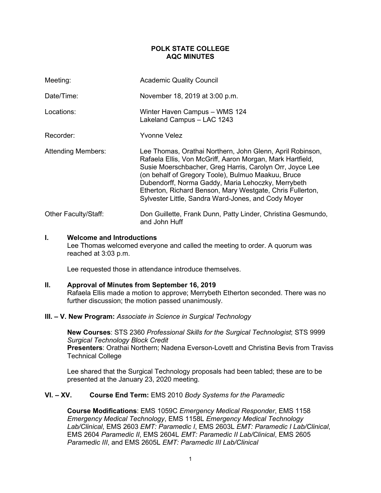# **POLK STATE COLLEGE AQC MINUTES**

| Meeting:                  | <b>Academic Quality Council</b>                                                                                                                                                                                                                                                                                                                                                                                    |
|---------------------------|--------------------------------------------------------------------------------------------------------------------------------------------------------------------------------------------------------------------------------------------------------------------------------------------------------------------------------------------------------------------------------------------------------------------|
| Date/Time:                | November 18, 2019 at 3:00 p.m.                                                                                                                                                                                                                                                                                                                                                                                     |
| Locations:                | Winter Haven Campus - WMS 124<br>Lakeland Campus - LAC 1243                                                                                                                                                                                                                                                                                                                                                        |
| Recorder:                 | Yvonne Velez                                                                                                                                                                                                                                                                                                                                                                                                       |
| <b>Attending Members:</b> | Lee Thomas, Orathai Northern, John Glenn, April Robinson,<br>Rafaela Ellis, Von McGriff, Aaron Morgan, Mark Hartfield,<br>Susie Moerschbacher, Greg Harris, Carolyn Orr, Joyce Lee<br>(on behalf of Gregory Toole), Bulmuo Maakuu, Bruce<br>Dubendorff, Norma Gaddy, Maria Lehoczky, Merrybeth<br>Etherton, Richard Benson, Mary Westgate, Chris Fullerton,<br>Sylvester Little, Sandra Ward-Jones, and Cody Moyer |
| Other Faculty/Staff:      | Don Guillette, Frank Dunn, Patty Linder, Christina Gesmundo,<br>and John Huff                                                                                                                                                                                                                                                                                                                                      |

## **I. Welcome and Introductions**

Lee Thomas welcomed everyone and called the meeting to order. A quorum was reached at 3:03 p.m.

Lee requested those in attendance introduce themselves.

## **II. Approval of Minutes from September 16, 2019**

Rafaela Ellis made a motion to approve; Merrybeth Etherton seconded. There was no further discussion; the motion passed unanimously.

### **III. – V. New Program:** *Associate in Science in Surgical Technology*

**New Courses**: STS 2360 *Professional Skills for the Surgical Technologist*; STS 9999 *Surgical Technology Block Credit* **Presenters**: Orathai Northern; Nadena Everson-Lovett and Christina Bevis from Traviss Technical College

Lee shared that the Surgical Technology proposals had been tabled; these are to be presented at the January 23, 2020 meeting.

# **VI. – XV. Course End Term:** EMS 2010 *Body Systems for the Paramedic*

**Course Modifications**: EMS 1059C *Emergency Medical Responder*, EMS 1158 *Emergency Medical Technology*, EMS 1158L *Emergency Medical Technology Lab/Clinical*, EMS 2603 *EMT: Paramedic I*, EMS 2603L *EMT: Paramedic I Lab/Clinical*, EMS 2604 *Paramedic II*, EMS 2604L *EMT: Paramedic II Lab/Clinical*, EMS 2605 *Paramedic III*, and EMS 2605L *EMT: Paramedic III Lab/Clinical*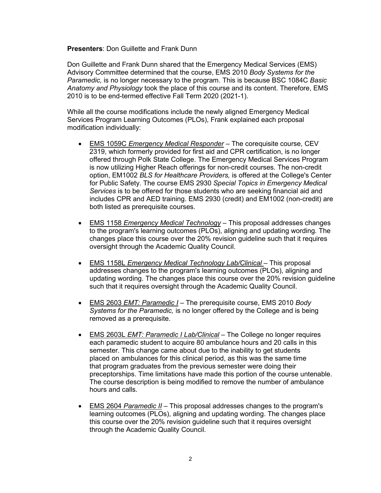### **Presenters**: Don Guillette and Frank Dunn

Don Guillette and Frank Dunn shared that the Emergency Medical Services (EMS) Advisory Committee determined that the course, EMS 2010 *Body Systems for the Paramedic,* is no longer necessary to the program. This is because BSC 1084C *Basic Anatomy and Physiology* took the place of this course and its content. Therefore, EMS 2010 is to be end-termed effective Fall Term 2020 (2021-1).

While all the course modifications include the newly aligned Emergency Medical Services Program Learning Outcomes (PLOs), Frank explained each proposal modification individually:

- EMS 1059C *Emergency Medical Responder* The corequisite course, CEV 2319, which formerly provided for first aid and CPR certification, is no longer offered through Polk State College. The Emergency Medical Services Program is now utilizing Higher Reach offerings for non-credit courses. The non-credit option, EM1002 *BLS for Healthcare Providers,* is offered at the College's Center for Public Safety. The course EMS 2930 *Special Topics in Emergency Medical Services* is to be offered for those students who are seeking financial aid and includes CPR and AED training. EMS 2930 (credit) and EM1002 (non-credit) are both listed as prerequisite courses.
- EMS 1158 *Emergency Medical Technology* This proposal addresses changes to the program's learning outcomes (PLOs), aligning and updating wording. The changes place this course over the 20% revision guideline such that it requires oversight through the Academic Quality Council.
- EMS 1158L *Emergency Medical Technology Lab/Clinical* This proposal addresses changes to the program's learning outcomes (PLOs), aligning and updating wording. The changes place this course over the 20% revision guideline such that it requires oversight through the Academic Quality Council.
- EMS 2603 *EMT: Paramedic I* The prerequisite course, EMS 2010 *Body Systems for the Paramedic,* is no longer offered by the College and is being removed as a prerequisite.
- EMS 2603L *EMT: Paramedic I Lab/Clinical* The College no longer requires each paramedic student to acquire 80 ambulance hours and 20 calls in this semester. This change came about due to the inability to get students placed on ambulances for this clinical period, as this was the same time that program graduates from the previous semester were doing their preceptorships. Time limitations have made this portion of the course untenable. The course description is being modified to remove the number of ambulance hours and calls.
- EMS 2604 *Paramedic II* This proposal addresses changes to the program's learning outcomes (PLOs), aligning and updating wording. The changes place this course over the 20% revision guideline such that it requires oversight through the Academic Quality Council.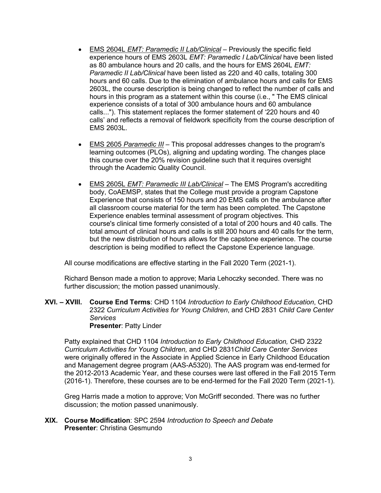- EMS 2604L *EMT: Paramedic II Lab/Clinical* Previously the specific field experience hours of EMS 2603L *EMT: Paramedic I Lab/Clinical* have been listed as 80 ambulance hours and 20 calls, and the hours for EMS 2604L *EMT: Paramedic II Lab/Clinical* have been listed as 220 and 40 calls, totaling 300 hours and 60 calls. Due to the elimination of ambulance hours and calls for EMS 2603L, the course description is being changed to reflect the number of calls and hours in this program as a statement within this course (i.e., " The EMS clinical experience consists of a total of 300 ambulance hours and 60 ambulance calls..."). This statement replaces the former statement of '220 hours and 40 calls' and reflects a removal of fieldwork specificity from the course description of EMS 2603L.
- EMS 2605 *Paramedic III* This proposal addresses changes to the program's learning outcomes (PLOs), aligning and updating wording. The changes place this course over the 20% revision guideline such that it requires oversight through the Academic Quality Council.
- EMS 2605L *EMT: Paramedic III Lab/Clinical* The EMS Program's accrediting body, CoAEMSP, states that the College must provide a program Capstone Experience that consists of 150 hours and 20 EMS calls on the ambulance after all classroom course material for the term has been completed. The Capstone Experience enables terminal assessment of program objectives. This course's clinical time formerly consisted of a total of 200 hours and 40 calls. The total amount of clinical hours and calls is still 200 hours and 40 calls for the term, but the new distribution of hours allows for the capstone experience. The course description is being modified to reflect the Capstone Experience language.

All course modifications are effective starting in the Fall 2020 Term (2021-1).

Richard Benson made a motion to approve; Maria Lehoczky seconded. There was no further discussion; the motion passed unanimously.

**XVI. – XVIII. Course End Terms**: CHD 1104 *Introduction to Early Childhood Education*, CHD 2322 *Curriculum Activities for Young Children*, and CHD 2831 *Child Care Center Services*  **Presenter**: Patty Linder

Patty explained that CHD 1104 *Introduction to Early Childhood Education,* CHD 2322 *Curriculum Activities for Young Children,* and CHD 2831*Child Care Center Services*  were originally offered in the Associate in Applied Science in Early Childhood Education and Management degree program (AAS-A5320). The AAS program was end-termed for the 2012-2013 Academic Year, and these courses were last offered in the Fall 2015 Term (2016-1). Therefore, these courses are to be end-termed for the Fall 2020 Term (2021-1).

Greg Harris made a motion to approve; Von McGriff seconded. There was no further discussion; the motion passed unanimously.

**XIX. Course Modification**: SPC 2594 *Introduction to Speech and Debate* **Presenter**: Christina Gesmundo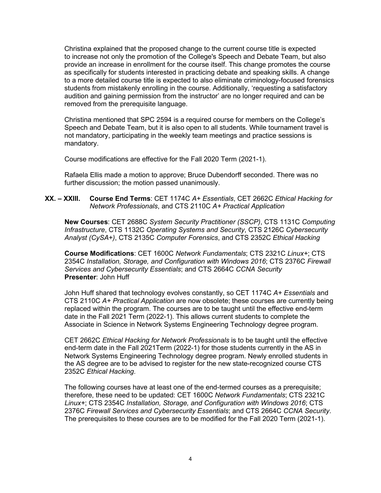Christina explained that the proposed change to the current course title is expected to increase not only the promotion of the College's Speech and Debate Team, but also provide an increase in enrollment for the course itself. This change promotes the course as specifically for students interested in practicing debate and speaking skills. A change to a more detailed course title is expected to also eliminate criminology-focused forensics students from mistakenly enrolling in the course. Additionally, 'requesting a satisfactory audition and gaining permission from the instructor' are no longer required and can be removed from the prerequisite language.

Christina mentioned that SPC 2594 is a required course for members on the College's Speech and Debate Team, but it is also open to all students. While tournament travel is not mandatory, participating in the weekly team meetings and practice sessions is mandatory.

Course modifications are effective for the Fall 2020 Term (2021-1).

Rafaela Ellis made a motion to approve; Bruce Dubendorff seconded. There was no further discussion; the motion passed unanimously.

# **XX. – XXIII. Course End Terms**: CET 1174C *A+ Essentials*, CET 2662C *Ethical Hacking for Network Professionals*, and CTS 2110C *A+ Practical Application*

**New Courses**: CET 2688C *System Security Practitioner (SSCP)*, CTS 1131C *Computing Infrastructure*, CTS 1132C *Operating Systems and Security*, CTS 2126C *Cybersecurity Analyst (CySA+)*, CTS 2135C *Computer Forensics*, and CTS 2352C *Ethical Hacking*

**Course Modifications**: CET 1600C *Network Fundamentals*; CTS 2321C *Linux+*; CTS 2354C *Installation, Storage, and Configuration with Windows 2016*; CTS 2376C *Firewall Services and Cybersecurity Essentials*; and CTS 2664C *CCNA Security* **Presenter**: John Huff

John Huff shared that technology evolves constantly, so CET 1174C *A+ Essentials* and CTS 2110C *A+ Practical Application* are now obsolete; these courses are currently being replaced within the program. The courses are to be taught until the effective end-term date in the Fall 2021 Term (2022-1). This allows current students to complete the Associate in Science in Network Systems Engineering Technology degree program.

CET 2662C *Ethical Hacking for Network Professionals* is to be taught until the effective end-term date in the Fall 2021Term (2022-1) for those students currently in the AS in Network Systems Engineering Technology degree program. Newly enrolled students in the AS degree are to be advised to register for the new state-recognized course CTS 2352C *Ethical Hacking*.

The following courses have at least one of the end-termed courses as a prerequisite; therefore, these need to be updated: CET 1600C *Network Fundamentals*; CTS 2321C *Linux+*; CTS 2354C *Installation, Storage, and Configuration with Windows 2016*; CTS 2376C *Firewall Services and Cybersecurity Essentials*; and CTS 2664C *CCNA Security*. The prerequisites to these courses are to be modified for the Fall 2020 Term (2021-1).